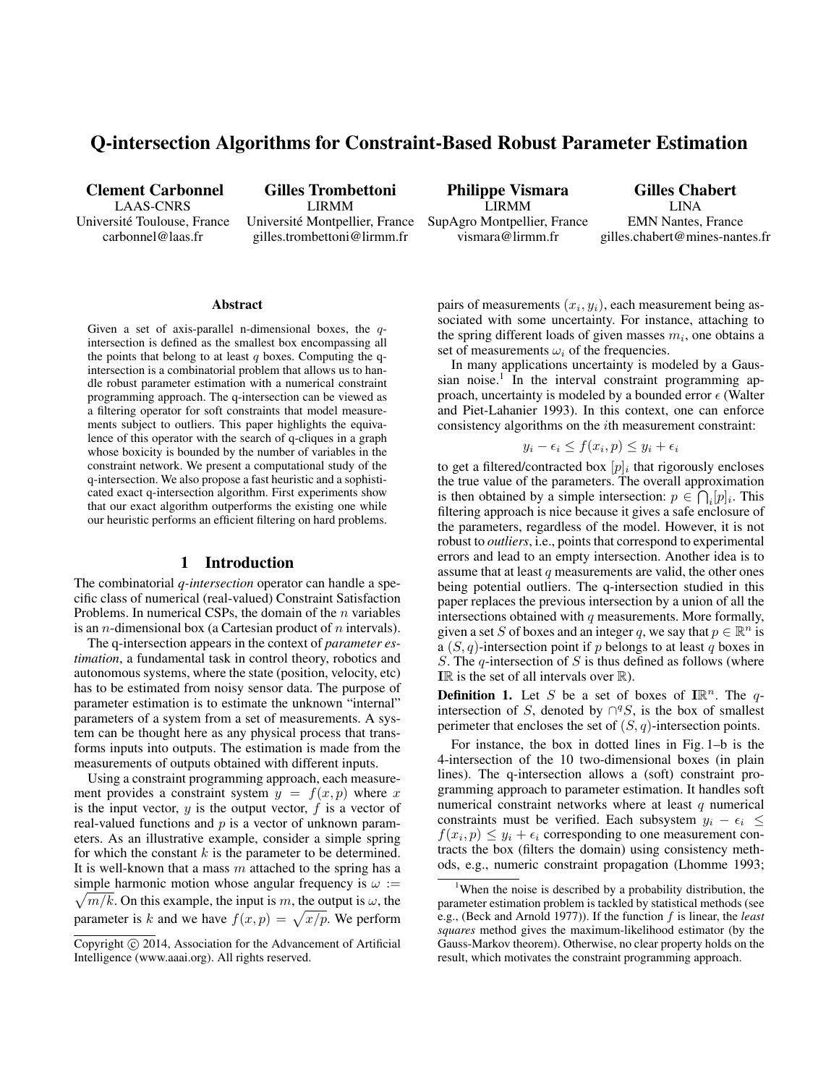# Q-intersection Algorithms for Constraint-Based Robust Parameter Estimation

Clement Carbonnel LAAS-CNRS Universite Toulouse, France ´ carbonnel@laas.fr

Gilles Trombettoni LIRMM Universite Montpellier, France ´

gilles.trombettoni@lirmm.fr

Philippe Vismara LIRMM SupAgro Montpellier, France vismara@lirmm.fr

Gilles Chabert LINA EMN Nantes, France gilles.chabert@mines-nantes.fr

#### Abstract

Given a set of axis-parallel n-dimensional boxes, the qintersection is defined as the smallest box encompassing all the points that belong to at least q boxes. Computing the qintersection is a combinatorial problem that allows us to handle robust parameter estimation with a numerical constraint programming approach. The q-intersection can be viewed as a filtering operator for soft constraints that model measurements subject to outliers. This paper highlights the equivalence of this operator with the search of q-cliques in a graph whose boxicity is bounded by the number of variables in the constraint network. We present a computational study of the q-intersection. We also propose a fast heuristic and a sophisticated exact q-intersection algorithm. First experiments show that our exact algorithm outperforms the existing one while our heuristic performs an efficient filtering on hard problems.

#### 1 Introduction

The combinatorial *q-intersection* operator can handle a specific class of numerical (real-valued) Constraint Satisfaction Problems. In numerical CSPs, the domain of the  $n$  variables is an *n*-dimensional box (a Cartesian product of *n* intervals).

The q-intersection appears in the context of *parameter estimation*, a fundamental task in control theory, robotics and autonomous systems, where the state (position, velocity, etc) has to be estimated from noisy sensor data. The purpose of parameter estimation is to estimate the unknown "internal" parameters of a system from a set of measurements. A system can be thought here as any physical process that transforms inputs into outputs. The estimation is made from the measurements of outputs obtained with different inputs.

Using a constraint programming approach, each measurement provides a constraint system  $y = f(x, p)$  where x is the input vector,  $y$  is the output vector,  $f$  is a vector of real-valued functions and  $p$  is a vector of unknown parameters. As an illustrative example, consider a simple spring for which the constant  $k$  is the parameter to be determined. It is well-known that a mass  $m$  attached to the spring has a simple harmonic motion whose angular frequency is  $\omega$  :=  $\sqrt{m/k}$ . On this example, the input is m, the output is  $\omega$ , the parameter is k and we have  $f(x, p) = \sqrt{x/p}$ . We perform

pairs of measurements  $(x_i, y_i)$ , each measurement being associated with some uncertainty. For instance, attaching to the spring different loads of given masses  $m_i$ , one obtains a set of measurements  $\omega_i$  of the frequencies.

In many applications uncertainty is modeled by a Gaussian noise.<sup>1</sup> In the interval constraint programming approach, uncertainty is modeled by a bounded error  $\epsilon$  (Walter and Piet-Lahanier 1993). In this context, one can enforce consistency algorithms on the ith measurement constraint:

$$
y_i - \epsilon_i \le f(x_i, p) \le y_i + \epsilon_i
$$

to get a filtered/contracted box  $[p]_i$  that rigorously encloses the true value of the parameters. The overall approximation is then obtained by a simple intersection:  $p \in \bigcap_i [p]_i$ . This filtering approach is nice because it gives a safe enclosure of the parameters, regardless of the model. However, it is not robust to *outliers*, i.e., points that correspond to experimental errors and lead to an empty intersection. Another idea is to assume that at least  $q$  measurements are valid, the other ones being potential outliers. The q-intersection studied in this paper replaces the previous intersection by a union of all the intersections obtained with  $q$  measurements. More formally, given a set S of boxes and an integer q, we say that  $p \in \mathbb{R}^n$  is a  $(S, q)$ -intersection point if p belongs to at least q boxes in S. The  $q$ -intersection of S is thus defined as follows (where IR is the set of all intervals over  $\mathbb{R}$ ).

**Definition 1.** Let S be a set of boxes of  $\mathbb{IR}^n$ . The qintersection of S, denoted by  $\bigcap^q S$ , is the box of smallest perimeter that encloses the set of  $(S, q)$ -intersection points.

For instance, the box in dotted lines in Fig. 1–b is the 4-intersection of the 10 two-dimensional boxes (in plain lines). The q-intersection allows a (soft) constraint programming approach to parameter estimation. It handles soft numerical constraint networks where at least  $q$  numerical constraints must be verified. Each subsystem  $y_i - \epsilon_i \leq$  $f(x_i, p) \leq y_i + \epsilon_i$  corresponding to one measurement contracts the box (filters the domain) using consistency methods, e.g., numeric constraint propagation (Lhomme 1993;

Copyright  $\odot$  2014, Association for the Advancement of Artificial Intelligence (www.aaai.org). All rights reserved.

<sup>&</sup>lt;sup>1</sup>When the noise is described by a probability distribution, the parameter estimation problem is tackled by statistical methods (see e.g., (Beck and Arnold 1977)). If the function f is linear, the *least squares* method gives the maximum-likelihood estimator (by the Gauss-Markov theorem). Otherwise, no clear property holds on the result, which motivates the constraint programming approach.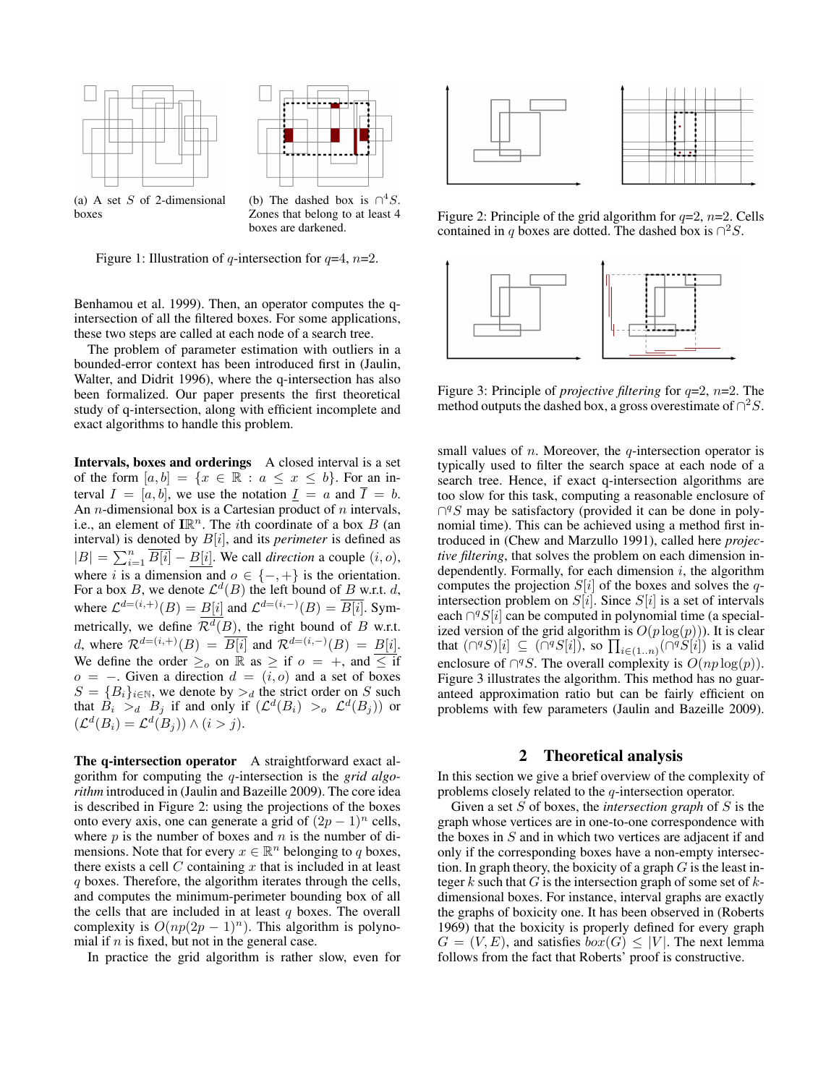



(a) A set  $S$  of 2-dimensional boxes

(b) The dashed box is  $\bigcap^4 S$ . Zones that belong to at least 4 boxes are darkened.

Figure 1: Illustration of q-intersection for  $q=4$ ,  $n=2$ .

Benhamou et al. 1999). Then, an operator computes the qintersection of all the filtered boxes. For some applications, these two steps are called at each node of a search tree.

The problem of parameter estimation with outliers in a bounded-error context has been introduced first in (Jaulin, Walter, and Didrit 1996), where the q-intersection has also been formalized. Our paper presents the first theoretical study of q-intersection, along with efficient incomplete and exact algorithms to handle this problem.

Intervals, boxes and orderings A closed interval is a set of the form  $[a, b] = \{x \in \mathbb{R} : a \leq x \leq b\}$ . For an interval  $I = [a, b]$ , we use the notation  $I = a$  and  $I = b$ . An *n*-dimensional box is a Cartesian product of *n* intervals, i.e., an element of  $\mathbb{IR}^n$ . The *i*th coordinate of a box B (an interval) is denoted by  $B[i]$ , and its *perimeter* is defined as  $|B| = \sum_{i=1}^{n} \overline{B[i]} - \underline{B[i]}$ . We call *direction* a couple  $(i, o)$ , where i is a dimension and  $o \in \{-, +\}$  is the orientation. For a box B, we denote  $\mathcal{L}^d(B)$  the left bound of B w.r.t. d, where  $\mathcal{L}^{d=(i,+)}(B) = B[i]$  and  $\mathcal{L}^{d=(i,-)}(B) = \overline{B[i]}$ . Symmetrically, we define  $\mathcal{R}^d(B)$ , the right bound of B w.r.t. d, where  $\mathcal{R}^{d=(i,+)}(B) = \overline{B[i]}$  and  $\mathcal{R}^{d=(i,-)}(B) = B[i]$ . We define the order  $\geq_o$  on R as  $\geq$  if  $o = +$ , and  $\leq$  if  $o = -$ . Given a direction  $d = (i, o)$  and a set of boxes  $S = {B<sub>i</sub>}<sub>i \in N</sub>$ , we denote by  $>_{d}$  the strict order on S such that  $\hat{B}_i >_d B_j$  if and only if  $(\mathcal{L}^d(B_i) >_o \mathcal{L}^d(B_j))$  or  $(\mathcal{L}^d(B_i) = \mathcal{L}^d(B_j)) \wedge (i > j).$ 

The q-intersection operator A straightforward exact algorithm for computing the q-intersection is the *grid algorithm* introduced in (Jaulin and Bazeille 2009). The core idea is described in Figure 2: using the projections of the boxes onto every axis, one can generate a grid of  $(2p - 1)^n$  cells, where  $p$  is the number of boxes and  $n$  is the number of dimensions. Note that for every  $x \in \mathbb{R}^n$  belonging to q boxes, there exists a cell  $C$  containing  $x$  that is included in at least q boxes. Therefore, the algorithm iterates through the cells, and computes the minimum-perimeter bounding box of all the cells that are included in at least  $q$  boxes. The overall complexity is  $O(np(2p - 1)^n)$ . This algorithm is polynomial if  $n$  is fixed, but not in the general case.

In practice the grid algorithm is rather slow, even for



Figure 2: Principle of the grid algorithm for  $q=2$ ,  $n=2$ . Cells contained in q boxes are dotted. The dashed box is  $\bigcap^2 S$ .



Figure 3: Principle of *projective filtering* for q=2, n=2. The method outputs the dashed box, a gross overestimate of  $\bigcap^2 S$ .

small values of  $n$ . Moreover, the  $q$ -intersection operator is typically used to filter the search space at each node of a search tree. Hence, if exact q-intersection algorithms are too slow for this task, computing a reasonable enclosure of  $\bigcap^q S$  may be satisfactory (provided it can be done in polynomial time). This can be achieved using a method first introduced in (Chew and Marzullo 1991), called here *projective filtering*, that solves the problem on each dimension independently. Formally, for each dimension  $i$ , the algorithm computes the projection  $S[i]$  of the boxes and solves the  $q$ intersection problem on  $S[i]$ . Since  $S[i]$  is a set of intervals each  $\bigcap^q S[i]$  can be computed in polynomial time (a specialized version of the grid algorithm is  $O(p \log(p))$ ). It is clear that  $(\bigcap^q S)[i] \subseteq (\bigcap^q S[i])$ , so  $\prod_{i \in (1..n)} (\bigcap^q S[i])$  is a valid enclosure of  $\bigcap^q S$ . The overall complexity is  $O(np \log(p))$ . Figure 3 illustrates the algorithm. This method has no guaranteed approximation ratio but can be fairly efficient on problems with few parameters (Jaulin and Bazeille 2009).

#### 2 Theoretical analysis

In this section we give a brief overview of the complexity of problems closely related to the q-intersection operator.

Given a set S of boxes, the *intersection graph* of S is the graph whose vertices are in one-to-one correspondence with the boxes in  $S$  and in which two vertices are adjacent if and only if the corresponding boxes have a non-empty intersection. In graph theory, the boxicity of a graph  $G$  is the least integer k such that G is the intersection graph of some set of  $k$ dimensional boxes. For instance, interval graphs are exactly the graphs of boxicity one. It has been observed in (Roberts 1969) that the boxicity is properly defined for every graph  $G = (V, E)$ , and satisfies  $box(G) \leq |V|$ . The next lemma follows from the fact that Roberts' proof is constructive.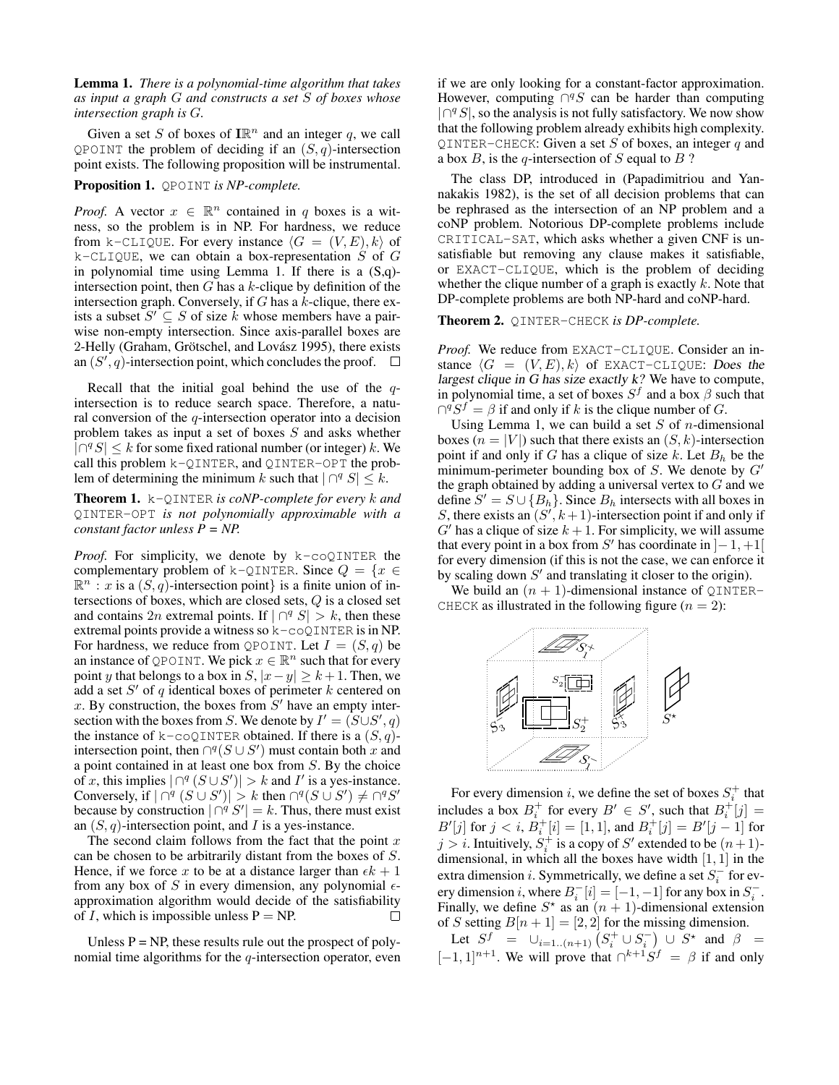Lemma 1. *There is a polynomial-time algorithm that takes as input a graph* G *and constructs a set* S *of boxes whose intersection graph is* G*.*

Given a set S of boxes of  $\mathbb{IR}^n$  and an integer q, we call QPOINT the problem of deciding if an  $(S, q)$ -intersection point exists. The following proposition will be instrumental.

Proposition 1. QPOINT *is NP-complete.*

*Proof.* A vector  $x \in \mathbb{R}^n$  contained in q boxes is a witness, so the problem is in NP. For hardness, we reduce from k-CLIQUE. For every instance  $\langle G = (V, E), k \rangle$  of  $k$ -CLIQUE, we can obtain a box-representation S of G in polynomial time using Lemma 1. If there is a (S,q) intersection point, then  $G$  has a  $k$ -clique by definition of the intersection graph. Conversely, if  $G$  has a  $k$ -clique, there exists a subset  $S' \subseteq S$  of size k whose members have a pairwise non-empty intersection. Since axis-parallel boxes are 2-Helly (Graham, Grötschel, and Lovász 1995), there exists an  $(S', q)$ -intersection point, which concludes the proof.

Recall that the initial goal behind the use of the  $q$ intersection is to reduce search space. Therefore, a natural conversion of the  $q$ -intersection operator into a decision problem takes as input a set of boxes S and asks whether  $|\bigcap^q S| \leq k$  for some fixed rational number (or integer) k. We call this problem k-QINTER, and QINTER-OPT the problem of determining the minimum k such that  $|\bigcap^q S| \leq k$ .

Theorem 1. k-QINTER *is coNP-complete for every* k *and* QINTER-OPT *is not polynomially approximable with a constant factor unless P = NP.*

*Proof.* For simplicity, we denote by k-coQINTER the complementary problem of k-QINTER. Since  $Q = \{x \in$  $\mathbb{R}^n$ : x is a  $(S, q)$ -intersection point} is a finite union of intersections of boxes, which are closed sets, Q is a closed set and contains 2n extremal points. If  $|\bigcap^{q} S| > k$ , then these extremal points provide a witness so k-coQINTER is in NP. For hardness, we reduce from QPOINT. Let  $I = (S, q)$  be an instance of QPOINT. We pick  $x \in \mathbb{R}^n$  such that for every point y that belongs to a box in  $S$ ,  $|x-y| \ge k+1$ . Then, we add a set  $S'$  of q identical boxes of perimeter  $k$  centered on x. By construction, the boxes from  $S'$  have an empty intersection with the boxes from S. We denote by  $I' = (S \cup S', q)$ the instance of k-coQINTER obtained. If there is a  $(S, q)$ intersection point, then  $\bigcap^q (S \cup S')$  must contain both x and a point contained in at least one box from S. By the choice of x, this implies  $|\bigcap^{q} (S \cup S')| > k$  and I' is a yes-instance. Conversely, if  $|\bigcap^{q} (S \cup S')| > k$  then  $\bigcap^{q} (S \cup S') \neq \bigcap^{q} S'$ because by construction  $|\bigcap^{q} S'| = k$ . Thus, there must exist an  $(S, q)$ -intersection point, and I is a yes-instance.

The second claim follows from the fact that the point  $x$ can be chosen to be arbitrarily distant from the boxes of S. Hence, if we force x to be at a distance larger than  $\epsilon k + 1$ from any box of S in every dimension, any polynomial  $\epsilon$ approximation algorithm would decide of the satisfiability of I, which is impossible unless  $P = NP$ .  $\Box$ 

Unless  $P = NP$ , these results rule out the prospect of polynomial time algorithms for the  $q$ -intersection operator, even if we are only looking for a constant-factor approximation. However, computing  $\bigcap^q S$  can be harder than computing  $|\bigcap^q S|$ , so the analysis is not fully satisfactory. We now show that the following problem already exhibits high complexity. QINTER-CHECK: Given a set  $S$  of boxes, an integer  $q$  and a box  $B$ , is the q-intersection of  $S$  equal to  $B$  ?

The class DP, introduced in (Papadimitriou and Yannakakis 1982), is the set of all decision problems that can be rephrased as the intersection of an NP problem and a coNP problem. Notorious DP-complete problems include CRITICAL-SAT, which asks whether a given CNF is unsatisfiable but removing any clause makes it satisfiable, or EXACT-CLIQUE, which is the problem of deciding whether the clique number of a graph is exactly  $k$ . Note that DP-complete problems are both NP-hard and coNP-hard.

#### Theorem 2. QINTER-CHECK *is DP-complete.*

*Proof.* We reduce from EXACT-CLIQUE. Consider an instance  $\langle G = (V, E), k \rangle$  of EXACT-CLIQUE: Does the largest clique in G has size exactly k? We have to compute, in polynomial time, a set of boxes  $S^f$  and a box  $\beta$  such that  $\bigcap^q S^f = \beta$  if and only if k is the clique number of G.

Using Lemma 1, we can build a set  $S$  of *n*-dimensional boxes  $(n = |V|)$  such that there exists an  $(S, k)$ -intersection point if and only if G has a clique of size k. Let  $B_h$  be the minimum-perimeter bounding box of  $S$ . We denote by  $G'$ the graph obtained by adding a universal vertex to  $G$  and we define  $S' = S \cup \{B_h\}$ . Since  $B_h$  intersects with all boxes in S, there exists an  $(S', k+1)$ -intersection point if and only if  $G'$  has a clique of size  $k + 1$ . For simplicity, we will assume that every point in a box from S' has coordinate in  $]-1, +1[$ for every dimension (if this is not the case, we can enforce it by scaling down  $S'$  and translating it closer to the origin).

We build an  $(n + 1)$ -dimensional instance of QINTER-CHECK as illustrated in the following figure  $(n = 2)$ :



For every dimension *i*, we define the set of boxes  $S_i^+$  that includes a box  $B_i^+$  for every  $B' \in S'$ , such that  $B_i^+[j] =$  $B'[j]$  for  $j < i$ ,  $B_i^+[i] = [1, 1]$ , and  $B_i^+[j] = B'[j-1]$  for  $j > i$ . Intuitively,  $S_i^+$  is a copy of  $S'$  extended to be  $(n+1)$ dimensional, in which all the boxes have width  $[1, 1]$  in the extra dimension *i*. Symmetrically, we define a set  $S_i^-$  for every dimension *i*, where  $B_i^-[i] = [-1, -1]$  for any box in  $S_i^-$ . Finally, we define  $S^*$  as an  $(n + 1)$ -dimensional extension of S setting  $B[n+1] = [2, 2]$  for the missing dimension.

Let  $S^f = \bigcup_{i=1..(n+1)} (S_i^+ \cup S_i^-) \cup S^*$  and  $\beta =$  $[-1, 1]^{n+1}$ . We will prove that  $\bigcap^{k+1} S^f = \beta$  if and only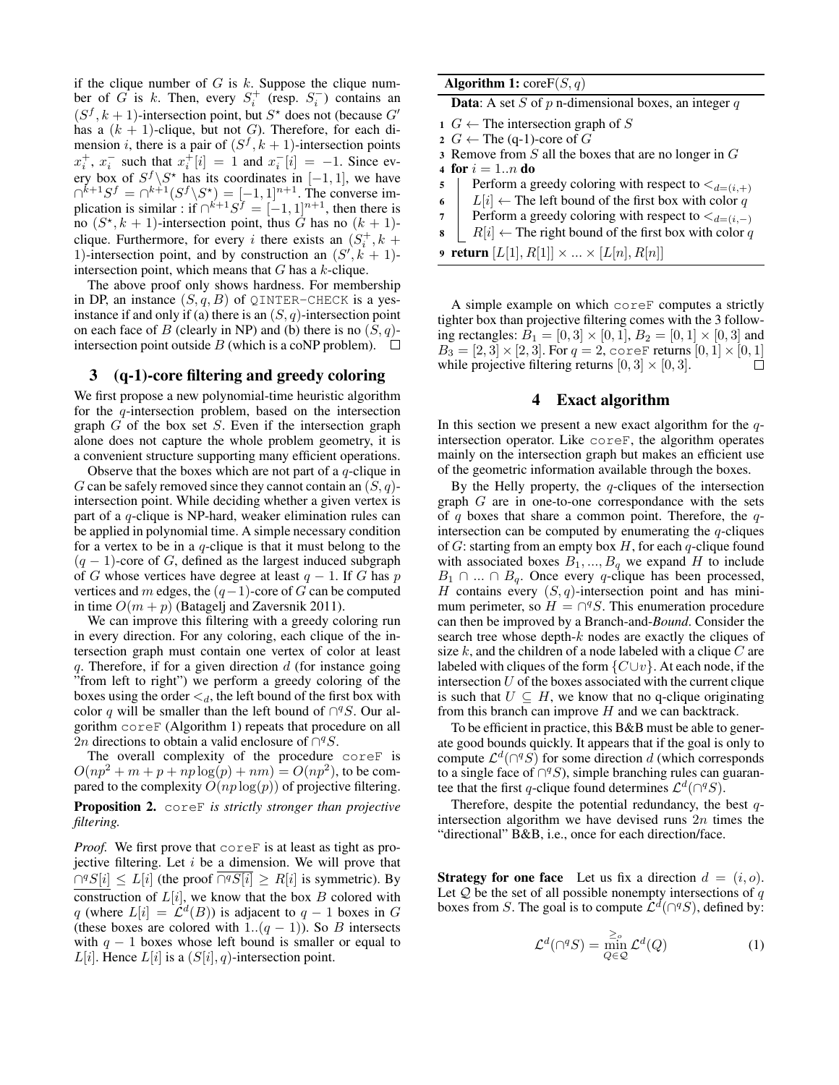if the clique number of  $G$  is  $k$ . Suppose the clique number of G is k. Then, every  $S_i^+$  (resp.  $S_i^-$ ) contains an  $(S^f, k+1)$ -intersection point, but  $S^*$  does not (because  $G'$ has a  $(k + 1)$ -clique, but not G). Therefore, for each dimension *i*, there is a pair of  $(S^f, k + 1)$ -intersection points  $x_i^+, x_i^-$  such that  $x_i^+$   $[i] = 1$  and  $x_i^ [i] = -1$ . Since every box of  $S^f \backslash S^*$  has its coordinates in  $[-1, 1]$ , we have  $\bigcap^{k+1}S^f = \bigcap^{k+1}(S^f \setminus S^*) = [-1, 1]^{n+1}$ . The converse implication is similar : if  $\bigcap^{k+1}S^f = [-1,1]^{n+1}$ , then there is no  $(S^*, k+1)$ -intersection point, thus  $\tilde{G}$  has no  $(k+1)$ clique. Furthermore, for every i there exists an  $(S_i^+, k +$ 1)-intersection point, and by construction an  $(S', \hat{k} + 1)$ intersection point, which means that  $G$  has a  $k$ -clique.

The above proof only shows hardness. For membership in DP, an instance  $(S, q, B)$  of QINTER-CHECK is a yesinstance if and only if (a) there is an  $(S, q)$ -intersection point on each face of B (clearly in NP) and (b) there is no  $(S, q)$ intersection point outside B (which is a coNP problem).  $\Box$ 

### 3 (q-1)-core filtering and greedy coloring

We first propose a new polynomial-time heuristic algorithm for the  $q$ -intersection problem, based on the intersection graph  $G$  of the box set  $S$ . Even if the intersection graph alone does not capture the whole problem geometry, it is a convenient structure supporting many efficient operations.

Observe that the boxes which are not part of a  $q$ -clique in G can be safely removed since they cannot contain an  $(S, q)$ intersection point. While deciding whether a given vertex is part of a  $q$ -clique is NP-hard, weaker elimination rules can be applied in polynomial time. A simple necessary condition for a vertex to be in a  $q$ -clique is that it must belong to the  $(q - 1)$ -core of G, defined as the largest induced subgraph of G whose vertices have degree at least  $q - 1$ . If G has p vertices and m edges, the  $(q-1)$ -core of G can be computed in time  $O(m + p)$  (Batagelj and Zaversnik 2011).

We can improve this filtering with a greedy coloring run in every direction. For any coloring, each clique of the intersection graph must contain one vertex of color at least q. Therefore, if for a given direction  $d$  (for instance going "from left to right") we perform a greedy coloring of the boxes using the order  $\lt d$ , the left bound of the first box with color q will be smaller than the left bound of  $\bigcap^q S$ . Our algorithm coreF (Algorithm 1) repeats that procedure on all 2n directions to obtain a valid enclosure of  $\bigcap^q S$ .

The overall complexity of the procedure coreF is  $O(np^2 + m + p + np \log(p) + nm) = O(np^2)$ , to be compared to the complexity  $O(np \log(p))$  of projective filtering. Proposition 2. coreF *is strictly stronger than projective filtering.*

*Proof.* We first prove that coreF is at least as tight as projective filtering. Let  $i$  be a dimension. We will prove that  $\bigcap^q S[i] \le L[i]$  (the proof  $\overline{\bigcap^q S[i]} \ge R[i]$  is symmetric). By construction of  $L[i]$ , we know that the box  $B$  colored with q (where  $L[i] = \mathcal{L}^d(B)$ ) is adjacent to  $q-1$  boxes in G (these boxes are colored with 1.. $(q - 1)$ ). So B intersects with  $q - 1$  boxes whose left bound is smaller or equal to  $L[i]$ . Hence  $L[i]$  is a  $(S[i], q)$ -intersection point.

|  | <b>Algorithm 1:</b> $coreF(S, q)$ |  |  |  |  |
|--|-----------------------------------|--|--|--|--|
|--|-----------------------------------|--|--|--|--|

**Data:** A set S of  $p$  n-dimensional boxes, an integer  $q$ 

- 1  $G \leftarrow$  The intersection graph of S
- 2  $G \leftarrow$  The (q-1)-core of  $G$
- 3 Remove from  $S$  all the boxes that are no longer in  $G$
- 4 for  $i = 1..n$  do
- 5 Perform a greedy coloring with respect to  $\lt_{d=(i,+)}$
- 6  $\left| L[i] \leftarrow$  The left bound of the first box with color q
- Perform a greedy coloring with respect to  $\lt_{d=(i,-)}$
- $R[i] \leftarrow$  The right bound of the first box with color q
- **9 return**  $[L[1], R[1]] \times ... \times [L[n], R[n]]$

A simple example on which coreF computes a strictly tighter box than projective filtering comes with the 3 following rectangles:  $B_1 = [0, 3] \times [0, 1], B_2 = [0, 1] \times [0, 3]$  and  $B_3 = [2, 3] \times [2, 3]$ . For  $q = 2$ , coref returns  $[0, 1] \times [0, 1]$ while projective filtering returns  $[0, 3] \times [0, 3]$ . П

### 4 Exact algorithm

In this section we present a new exact algorithm for the  $q$ intersection operator. Like coreF, the algorithm operates mainly on the intersection graph but makes an efficient use of the geometric information available through the boxes.

By the Helly property, the  $q$ -cliques of the intersection graph  $G$  are in one-to-one correspondance with the sets of q boxes that share a common point. Therefore, the  $q$ intersection can be computed by enumerating the  $q$ -cliques of  $G$ : starting from an empty box  $H$ , for each q-clique found with associated boxes  $B_1, ..., B_q$  we expand H to include  $B_1 \cap ... \cap B_q$ . Once every q-clique has been processed, H contains every  $(S, q)$ -intersection point and has minimum perimeter, so  $H = \bigcap^q S$ . This enumeration procedure can then be improved by a Branch-and-*Bound*. Consider the search tree whose depth- $k$  nodes are exactly the cliques of size  $k$ , and the children of a node labeled with a clique  $C$  are labeled with cliques of the form  $\{C\cup v\}$ . At each node, if the intersection  $U$  of the boxes associated with the current clique is such that  $U \subseteq H$ , we know that no q-clique originating from this branch can improve  $H$  and we can backtrack.

To be efficient in practice, this B&B must be able to generate good bounds quickly. It appears that if the goal is only to compute  $\mathcal{L}^d(\bigcap^q S)$  for some direction d (which corresponds to a single face of  $\bigcap^q S$ ), simple branching rules can guarantee that the first q-clique found determines  $\mathcal{L}^d(\bigcap^q S)$ .

Therefore, despite the potential redundancy, the best  $q$ intersection algorithm we have devised runs  $2n$  times the "directional" B&B, i.e., once for each direction/face.

**Strategy for one face** Let us fix a direction  $d = (i, o)$ . Let  $Q$  be the set of all possible nonempty intersections of  $q$ boxes from S. The goal is to compute  $\mathcal{L}^d(\bigcap^q S)$ , defined by:

$$
\mathcal{L}^d(\bigcap^q S) = \min_{Q \in \mathcal{Q}}^{\geq_o} \mathcal{L}^d(Q) \tag{1}
$$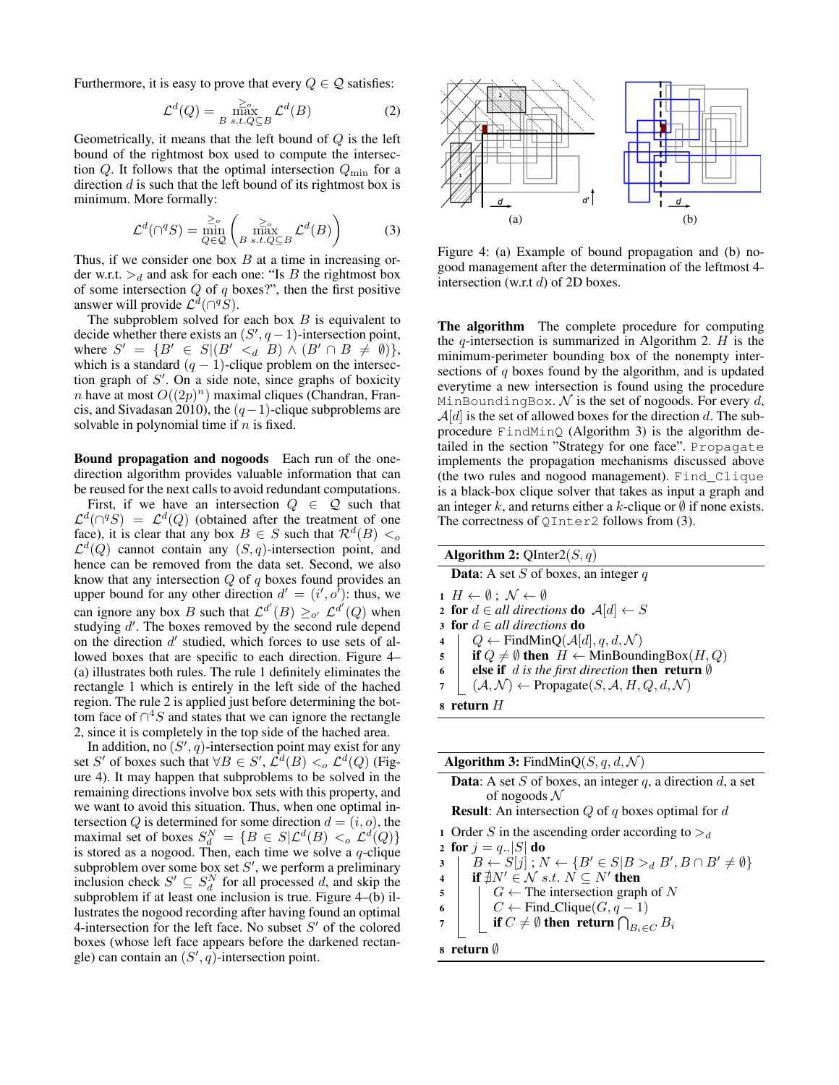Furthermore, it is easy to prove that every  $Q \in \mathcal{Q}$  satisfies:

$$
\mathcal{L}^d(Q) = \max_{B \text{ s.t. } Q \subseteq B} \mathcal{L}^d(B)
$$
 (2)

Geometrically, it means that the left bound of  $Q$  is the left bound of the rightmost box used to compute the intersection Q. It follows that the optimal intersection  $Q_{\text{min}}$  for a direction  $d$  is such that the left bound of its rightmost box is minimum. More formally:

$$
\mathcal{L}^d(\bigcap^q S) = \min_{Q \in \mathcal{Q}} \left( \max_{B \text{ s.t. } Q \subseteq B} \mathcal{L}^d(B) \right) \tag{3}
$$

Thus, if we consider one box  $B$  at a time in increasing order w.r.t.  $\geq_d$  and ask for each one: "Is B the rightmost box of some intersection  $Q$  of  $q$  boxes?", then the first positive answer will provide  $\mathcal{L}^d(\bigcap^q S)$ .

The subproblem solved for each box  $B$  is equivalent to decide whether there exists an  $(S', q-1)$ -intersection point, where  $S' = \{B' \in S | (B' \lt d \mid B) \wedge (B' \cap B \neq \emptyset) \},$ which is a standard  $(q - 1)$ -clique problem on the intersection graph of  $S'$ . On a side note, since graphs of boxicity *n* have at most  $O((2p)^n)$  maximal cliques (Chandran, Francis, and Sivadasan 2010), the  $(q-1)$ -clique subproblems are solvable in polynomial time if  $n$  is fixed.

Bound propagation and nogoods Each run of the onedirection algorithm provides valuable information that can be reused for the next calls to avoid redundant computations.

First, if we have an intersection  $Q \in \mathcal{Q}$  such that  $\mathcal{L}^d(\bigcap^q S) = \mathcal{L}^d(Q)$  (obtained after the treatment of one face), it is clear that any box  $B \in S$  such that  $\mathcal{R}^d(B) <_{\text{o}}$  $\mathcal{L}^d(Q)$  cannot contain any  $(S, q)$ -intersection point, and hence can be removed from the data set. Second, we also know that any intersection  $Q$  of  $q$  boxes found provides an upper bound for any other direction  $d' = (i', o')$ : thus, we can ignore any box B such that  $\mathcal{L}^{d'}(B) \geq_{o'} \mathcal{L}^{d'}(Q)$  when studying  $d'$ . The boxes removed by the second rule depend on the direction  $d'$  studied, which forces to use sets of allowed boxes that are specific to each direction. Figure 4– (a) illustrates both rules. The rule 1 definitely eliminates the rectangle 1 which is entirely in the left side of the hached region. The rule 2 is applied just before determining the bottom face of  $\bigcap^4 S$  and states that we can ignore the rectangle 2, since it is completely in the top side of the hached area.

In addition, no  $(S', q)$ -intersection point may exist for any set S' of boxes such that  $\forall B \in S', \mathcal{L}^d(B) <_o \mathcal{L}^d(Q)$  (Figure 4). It may happen that subproblems to be solved in the remaining directions involve box sets with this property, and we want to avoid this situation. Thus, when one optimal intersection Q is determined for some direction  $d = (i, o)$ , the maximal set of boxes  $S_d^N = \{ B \in S | \mathcal{L}^d(B) <_o \mathcal{L}^d(Q) \}$ is stored as a nogood. Then, each time we solve a  $q$ -clique subproblem over some box set  $S'$ , we perform a preliminary inclusion check  $S' \subseteq S_d^N$  for all processed d, and skip the subproblem if at least one inclusion is true. Figure 4–(b) illustrates the nogood recording after having found an optimal 4-intersection for the left face. No subset  $S'$  of the colored boxes (whose left face appears before the darkened rectangle) can contain an  $(S', q)$ -intersection point.



Figure 4: (a) Example of bound propagation and (b) nogood management after the determination of the leftmost 4 intersection (w.r.t d) of 2D boxes.

The algorithm The complete procedure for computing the  $q$ -intersection is summarized in Algorithm 2.  $H$  is the minimum-perimeter bounding box of the nonempty intersections of q boxes found by the algorithm, and is updated everytime a new intersection is found using the procedure MinBoundingBox.  $N$  is the set of nogoods. For every d,  $\mathcal{A}[d]$  is the set of allowed boxes for the direction d. The subprocedure FindMinQ (Algorithm 3) is the algorithm detailed in the section "Strategy for one face". Propagate implements the propagation mechanisms discussed above (the two rules and nogood management). Find\_Clique is a black-box clique solver that takes as input a graph and an integer k, and returns either a k-clique or  $\emptyset$  if none exists. The correctness of  $QInter2$  follows from (3).

|                | <b>Algorithm 2:</b> QInter2(S, q)                                                      |  |  |  |
|----------------|----------------------------------------------------------------------------------------|--|--|--|
|                | <b>Data:</b> A set S of boxes, an integer q                                            |  |  |  |
|                | $1 H \leftarrow \emptyset$ ; $\mathcal{N} \leftarrow \emptyset$                        |  |  |  |
|                | <b>2 for</b> $d \in all$ directions <b>do</b> $\mathcal{A}[d] \leftarrow S$            |  |  |  |
|                | 3 for $d \in all$ directions do                                                        |  |  |  |
| $\overline{4}$ | $Q \leftarrow$ FindMinQ( $\mathcal{A}[d], q, d, \mathcal{N}$ )                         |  |  |  |
|                | 5   if $Q \neq \emptyset$ then $H \leftarrow$ MinBoundingBox(H, Q)                     |  |  |  |
|                | $6 \mid$<br><b>else if</b> d is the first direction <b>then</b> return $\emptyset$     |  |  |  |
| $\overline{7}$ | $\vert (A, \mathcal{N}) \leftarrow$ Propagate $(S, \mathcal{A}, H, Q, d, \mathcal{N})$ |  |  |  |
|                | s return $H$                                                                           |  |  |  |
|                |                                                                                        |  |  |  |

| <b>Algorithm 3:</b> FindMinQ(S, q, d, N)                                                    |  |  |  |  |
|---------------------------------------------------------------------------------------------|--|--|--|--|
| <b>Data:</b> A set S of boxes, an integer q, a direction $d$ , a set                        |  |  |  |  |
| of nogoods $\mathcal N$                                                                     |  |  |  |  |
| <b>Result:</b> An intersection Q of q boxes optimal for d                                   |  |  |  |  |
| 1 Order S in the ascending order according to $\geq_d$                                      |  |  |  |  |
| 2 for $j = q_{\cdot}  S $ do                                                                |  |  |  |  |
| $B \leftarrow S[j]$ ; $N \leftarrow \{B' \in S   B >_d B', B \cap B' \neq \emptyset\}$<br>3 |  |  |  |  |
| if $\sharp N' \in \mathcal{N}$ s.t. $N \subseteq N'$ then                                   |  |  |  |  |
| $G \leftarrow$ The intersection graph of N<br>5                                             |  |  |  |  |
| $C \leftarrow$ Find_Clique $(G, q-1)$<br>6                                                  |  |  |  |  |
| if $C \neq \emptyset$ then return $\bigcap_{B_i \in C} B_i$                                 |  |  |  |  |
| 8 return Ø                                                                                  |  |  |  |  |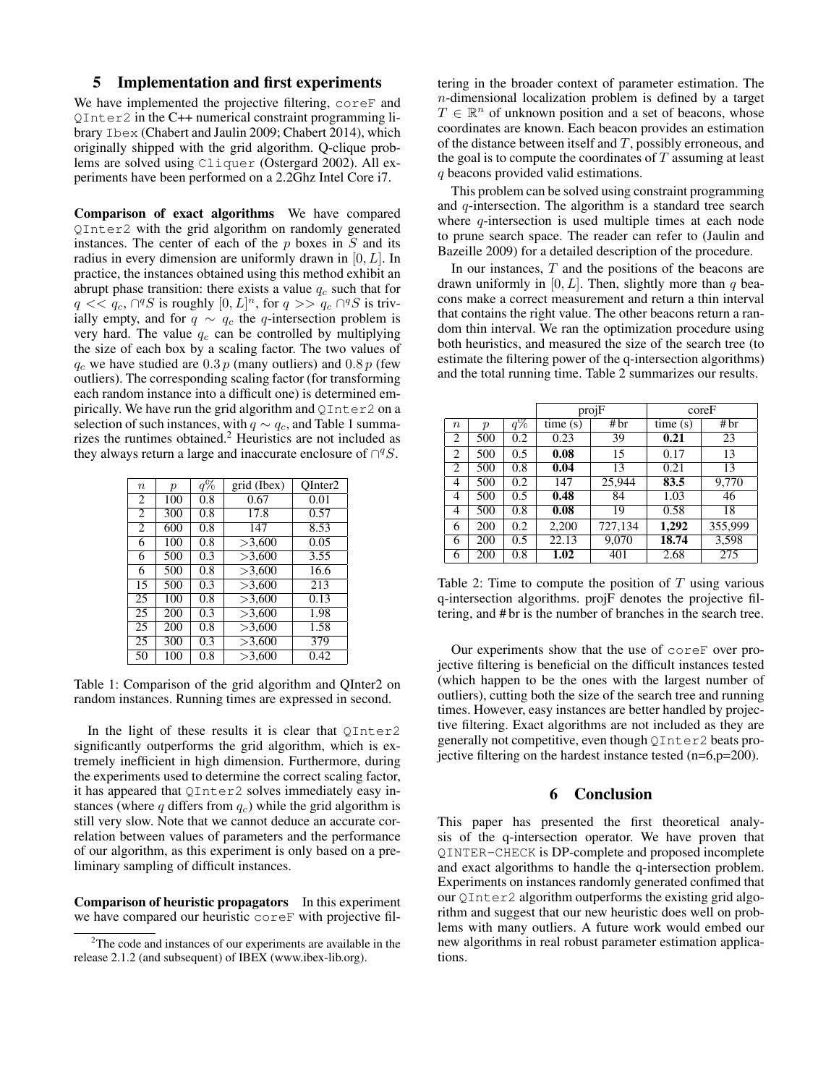### 5 Implementation and first experiments

We have implemented the projective filtering, coreF and QInter2 in the C++ numerical constraint programming library Ibex (Chabert and Jaulin 2009; Chabert 2014), which originally shipped with the grid algorithm. Q-clique problems are solved using Cliquer (Ostergard 2002). All experiments have been performed on a 2.2Ghz Intel Core i7.

Comparison of exact algorithms We have compared QInter2 with the grid algorithm on randomly generated instances. The center of each of the  $p$  boxes in  $S$  and its radius in every dimension are uniformly drawn in [0, L]. In practice, the instances obtained using this method exhibit an abrupt phase transition: there exists a value  $q_c$  such that for  $q \lt \lbrace q_c, \bigcap^q S$  is roughly  $[0, L]^n$ , for  $q \gt \lbrace q_c \bigcap^q S$  is trivially empty, and for  $q \sim q_c$  the q-intersection problem is very hard. The value  $q_c$  can be controlled by multiplying the size of each box by a scaling factor. The two values of  $q_c$  we have studied are 0.3 p (many outliers) and 0.8 p (few outliers). The corresponding scaling factor (for transforming each random instance into a difficult one) is determined empirically. We have run the grid algorithm and QInter2 on a selection of such instances, with  $q \sim q_c$ , and Table 1 summarizes the runtimes obtained.<sup>2</sup> Heuristics are not included as they always return a large and inaccurate enclosure of  $\bigcap^q S$ .

| $\eta$         | $\boldsymbol{p}$ | q%  | grid (Ibex)  | OInter <sub>2</sub> |
|----------------|------------------|-----|--------------|---------------------|
| 2              | 100              | 0.8 | 0.67         | 0.01                |
| $\overline{2}$ | 300              | 0.8 | 17.8         | 0.57                |
| $\overline{c}$ | 600              | 0.8 | 147          | 8.53                |
| 6              | 100              | 0.8 | >3,600       | 0.05                |
| 6              | 500              | 0.3 | >3,600       | 3.55                |
| 6              | 500              | 0.8 | >3,600       | 16.6                |
| 15             | 500              | 0.3 | >3,600       | 213                 |
| 25             | 100              | 0.8 | >3.600       | 0.13                |
| 25             | 200              | 0.3 | >3,600       | 1.98                |
| 25             | 200              | 0.8 | >3,600       | 1.58                |
| 25             | 300              | 0.3 | >3,600       | 379                 |
| 50             | 100              | 0.8 | $\geq 3,600$ | 0.42                |

Table 1: Comparison of the grid algorithm and QInter2 on random instances. Running times are expressed in second.

In the light of these results it is clear that QInter2 significantly outperforms the grid algorithm, which is extremely inefficient in high dimension. Furthermore, during the experiments used to determine the correct scaling factor, it has appeared that QInter2 solves immediately easy instances (where q differs from  $q_c$ ) while the grid algorithm is still very slow. Note that we cannot deduce an accurate correlation between values of parameters and the performance of our algorithm, as this experiment is only based on a preliminary sampling of difficult instances.

Comparison of heuristic propagators In this experiment we have compared our heuristic coreF with projective fil-

tering in the broader context of parameter estimation. The n-dimensional localization problem is defined by a target  $T \in \mathbb{R}^n$  of unknown position and a set of beacons, whose coordinates are known. Each beacon provides an estimation of the distance between itself and  $T$ , possibly erroneous, and the goal is to compute the coordinates of  $T$  assuming at least q beacons provided valid estimations.

This problem can be solved using constraint programming and  $q$ -intersection. The algorithm is a standard tree search where  $q$ -intersection is used multiple times at each node to prune search space. The reader can refer to (Jaulin and Bazeille 2009) for a detailed description of the procedure.

In our instances,  $T$  and the positions of the beacons are drawn uniformly in  $[0, L]$ . Then, slightly more than q beacons make a correct measurement and return a thin interval that contains the right value. The other beacons return a random thin interval. We ran the optimization procedure using both heuristics, and measured the size of the search tree (to estimate the filtering power of the q-intersection algorithms) and the total running time. Table 2 summarizes our results.

|                  |                  |       | projF   |         | coreF   |         |
|------------------|------------------|-------|---------|---------|---------|---------|
| $\boldsymbol{n}$ | $\boldsymbol{p}$ | $q\%$ | time(s) | #br     | time(s) | #br     |
| $\overline{2}$   | 500              | 0.2   | 0.23    | 39      | 0.21    | 23      |
| $\overline{2}$   | 500              | 0.5   | 0.08    | 15      | 0.17    | 13      |
| 2                | 500              | 0.8   | 0.04    | 13      | 0.21    | 13      |
| 4                | 500              | 0.2   | 147     | 25,944  | 83.5    | 9,770   |
| $\overline{4}$   | 500              | 0.5   | 0.48    | 84      | 1.03    | 46      |
| 4                | 500              | 0.8   | 0.08    | 19      | 0.58    | 18      |
| 6                | 200              | 0.2   | 2,200   | 727,134 | 1,292   | 355,999 |
| 6                | 200              | 0.5   | 22.13   | 9,070   | 18.74   | 3,598   |
| 6                | 200              | 0.8   | 1.02    | 401     | 2.68    | 275     |

Table 2: Time to compute the position of  $T$  using various q-intersection algorithms. projF denotes the projective filtering, and # br is the number of branches in the search tree.

Our experiments show that the use of coreF over projective filtering is beneficial on the difficult instances tested (which happen to be the ones with the largest number of outliers), cutting both the size of the search tree and running times. However, easy instances are better handled by projective filtering. Exact algorithms are not included as they are generally not competitive, even though QInter2 beats projective filtering on the hardest instance tested (n=6,p=200).

## 6 Conclusion

This paper has presented the first theoretical analysis of the q-intersection operator. We have proven that QINTER-CHECK is DP-complete and proposed incomplete and exact algorithms to handle the q-intersection problem. Experiments on instances randomly generated confimed that our QInter2 algorithm outperforms the existing grid algorithm and suggest that our new heuristic does well on problems with many outliers. A future work would embed our new algorithms in real robust parameter estimation applications.

<sup>&</sup>lt;sup>2</sup>The code and instances of our experiments are available in the release 2.1.2 (and subsequent) of IBEX (www.ibex-lib.org).